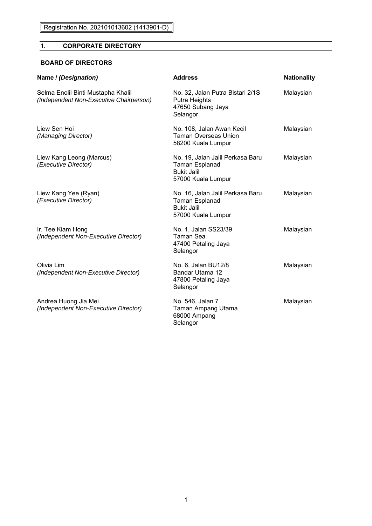# **1. CORPORATE DIRECTORY**

### **BOARD OF DIRECTORS**

| Name / (Designation)                                                          | <b>Address</b>                                                                                        | <b>Nationality</b><br>Malaysian |  |
|-------------------------------------------------------------------------------|-------------------------------------------------------------------------------------------------------|---------------------------------|--|
| Selma Enolil Binti Mustapha Khalil<br>(Independent Non-Executive Chairperson) | No. 32, Jalan Putra Bistari 2/1S<br>Putra Heights<br>47650 Subang Jaya<br>Selangor                    |                                 |  |
| Liew Sen Hoi<br>(Managing Director)                                           | No. 108, Jalan Awan Kecil<br><b>Taman Overseas Union</b><br>58200 Kuala Lumpur                        | Malaysian                       |  |
| Liew Kang Leong (Marcus)<br>(Executive Director)                              | No. 19, Jalan Jalil Perkasa Baru<br><b>Taman Esplanad</b><br><b>Bukit Jalil</b><br>57000 Kuala Lumpur | Malaysian                       |  |
| Liew Kang Yee (Ryan)<br>(Executive Director)                                  | No. 16, Jalan Jalil Perkasa Baru<br><b>Taman Esplanad</b><br><b>Bukit Jalil</b><br>57000 Kuala Lumpur | Malaysian                       |  |
| Ir. Tee Kiam Hong<br>(Independent Non-Executive Director)                     | No. 1, Jalan SS23/39<br>Taman Sea<br>47400 Petaling Jaya<br>Selangor                                  | Malaysian                       |  |
| Olivia Lim<br>(Independent Non-Executive Director)                            | No. 6, Jalan BU12/8<br>Bandar Utama 12<br>47800 Petaling Jaya<br>Selangor                             | Malaysian                       |  |
| Andrea Huong Jia Mei<br>(Independent Non-Executive Director)                  | No. 546, Jalan 7<br>Taman Ampang Utama<br>68000 Ampang<br>Selangor                                    | Malaysian                       |  |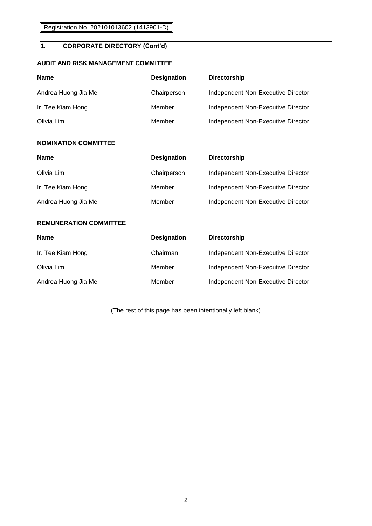### **1. CORPORATE DIRECTORY (Cont'd)**

#### **AUDIT AND RISK MANAGEMENT COMMITTEE**

| Name                 | <b>Designation</b> | <b>Directorship</b>                |
|----------------------|--------------------|------------------------------------|
| Andrea Huong Jia Mei | Chairperson        | Independent Non-Executive Director |
| Ir. Tee Kiam Hong    | Member             | Independent Non-Executive Director |
| Olivia Lim           | Member             | Independent Non-Executive Director |

#### **NOMINATION COMMITTEE**

| <b>Name</b>          | <b>Designation</b> | <b>Directorship</b>                |
|----------------------|--------------------|------------------------------------|
| Olivia Lim           | Chairperson        | Independent Non-Executive Director |
| Ir. Tee Kiam Hong    | Member             | Independent Non-Executive Director |
| Andrea Huong Jia Mei | Member             | Independent Non-Executive Director |

#### **REMUNERATION COMMITTEE**

| <b>Name</b>          | <b>Designation</b> | <b>Directorship</b>                |
|----------------------|--------------------|------------------------------------|
| Ir. Tee Kiam Hong    | Chairman           | Independent Non-Executive Director |
| Olivia Lim           | Member             | Independent Non-Executive Director |
| Andrea Huong Jia Mei | Member             | Independent Non-Executive Director |

(The rest of this page has been intentionally left blank)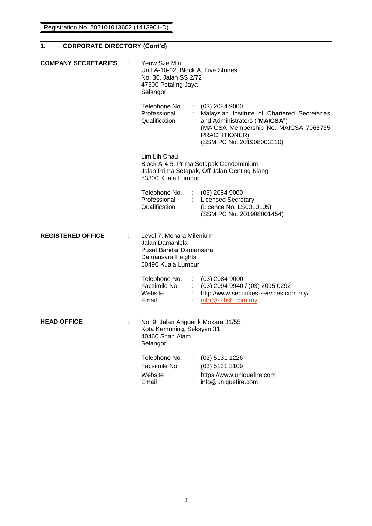| <b>COMPANY SECRETARIES</b> | Yeow Sze Min<br>Unit A-10-02, Block A, Five Stones<br>No. 30, Jalan SS 2/72<br>47300 Petaling Jaya<br>Selangor   |  |                                                                                                                                                                                          |
|----------------------------|------------------------------------------------------------------------------------------------------------------|--|------------------------------------------------------------------------------------------------------------------------------------------------------------------------------------------|
|                            | Telephone No.<br>Professional<br>Qualification                                                                   |  | $(03)$ 2084 9000<br>Malaysian Institute of Chartered Secretaries<br>and Administrators ("MAICSA")<br>(MAICSA Membership No. MAICSA 7065735<br>PRACTITIONER)<br>(SSM PC No. 201908003120) |
|                            | Lim Lih Chau<br>53300 Kuala Lumpur                                                                               |  | Block A-4-5, Prima Setapak Condominium<br>Jalan Prima Setapak, Off Jalan Genting Klang                                                                                                   |
|                            | Telephone No.<br>Professional<br>Qualification                                                                   |  | $(03)$ 2084 9000<br>: Licensed Secretary<br>(Licence No. LS0010105)<br>(SSM PC No. 201908001454)                                                                                         |
| <b>REGISTERED OFFICE</b>   | Level 7, Menara Milenium<br>Jalan Damanlela<br>Pusat Bandar Damansara<br>Damansara Heights<br>50490 Kuala Lumpur |  |                                                                                                                                                                                          |
|                            | Telephone No.<br>Facsimile No.<br>Website<br>Email                                                               |  | $(03)$ 2084 9000<br>$(03)$ 2094 9940 / (03) 2095 0292<br>: http://www.securities-services.com.my/<br>info@sshsb.com.my                                                                   |
| <b>HEAD OFFICE</b>         | No. 9, Jalan Anggerik Mokara 31/55<br>Kota Kemuning, Seksyen 31<br>40460 Shah Alam<br>Selangor                   |  |                                                                                                                                                                                          |
|                            | Telephone No.<br>Facsimile No.<br>Website<br>Email                                                               |  | (03) 5131 1226<br>(03) 5131 3109<br>https://www.uniquefire.com<br>info@uniquefire.com                                                                                                    |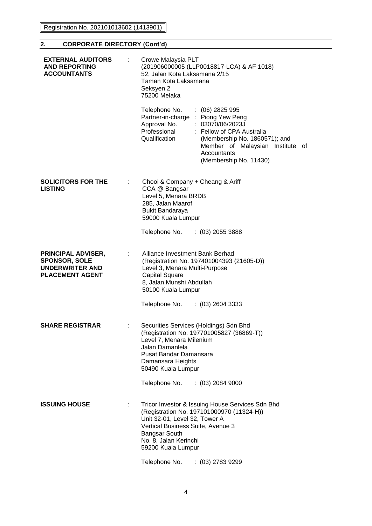Registration No. 202101013602 (1413901)

### **2. CORPORATE DIRECTORY (Cont'd)**

| <b>EXTERNAL AUDITORS</b><br><b>AND REPORTING</b><br><b>ACCOUNTANTS</b>                                |   | Crowe Malaysia PLT<br>(201906000005 (LLP0018817-LCA) & AF 1018)<br>52, Jalan Kota Laksamana 2/15<br>Taman Kota Laksamana<br>Seksyen 2<br>75200 Melaka                                                                                                                                    |
|-------------------------------------------------------------------------------------------------------|---|------------------------------------------------------------------------------------------------------------------------------------------------------------------------------------------------------------------------------------------------------------------------------------------|
|                                                                                                       |   | Telephone No.<br>$(06)$ 2825 995<br>Partner-in-charge: Piong Yew Peng<br>: 03070/06/2023J<br>Approval No.<br>Professional<br>: Fellow of CPA Australia<br>Qualification<br>(Membership No. 1860571); and<br>Member of Malaysian Institute<br>of<br>Accountants<br>(Membership No. 11430) |
| <b>SOLICITORS FOR THE</b><br><b>LISTING</b>                                                           |   | Chooi & Company + Cheang & Ariff<br>CCA @ Bangsar<br>Level 5, Menara BRDB<br>285, Jalan Maarof<br><b>Bukit Bandaraya</b><br>59000 Kuala Lumpur                                                                                                                                           |
|                                                                                                       |   | Telephone No.<br>$(03)$ 2055 3888                                                                                                                                                                                                                                                        |
| <b>PRINCIPAL ADVISER,</b><br><b>SPONSOR, SOLE</b><br><b>UNDERWRITER AND</b><br><b>PLACEMENT AGENT</b> |   | Alliance Investment Bank Berhad<br>(Registration No. 197401004393 (21605-D))<br>Level 3, Menara Multi-Purpose<br>Capital Square<br>8, Jalan Munshi Abdullah<br>50100 Kuala Lumpur                                                                                                        |
|                                                                                                       |   | Telephone No.<br>$(03)$ 2604 3333                                                                                                                                                                                                                                                        |
| <b>SHARE REGISTRAR</b>                                                                                | ÷ | Securities Services (Holdings) Sdn Bhd<br>(Registration No. 197701005827 (36869-T))<br>Level 7, Menara Milenium<br>Jalan Damanlela<br>Pusat Bandar Damansara<br>Damansara Heights<br>50490 Kuala Lumpur                                                                                  |
|                                                                                                       |   | Telephone No.<br>$(03)$ 2084 9000                                                                                                                                                                                                                                                        |
| <b>ISSUING HOUSE</b>                                                                                  | ÷ | Tricor Investor & Issuing House Services Sdn Bhd<br>(Registration No. 197101000970 (11324-H))<br>Unit 32-01, Level 32, Tower A<br>Vertical Business Suite, Avenue 3<br><b>Bangsar South</b><br>No. 8, Jalan Kerinchi<br>59200 Kuala Lumpur                                               |
|                                                                                                       |   |                                                                                                                                                                                                                                                                                          |

Telephone No. : (03) 2783 9299